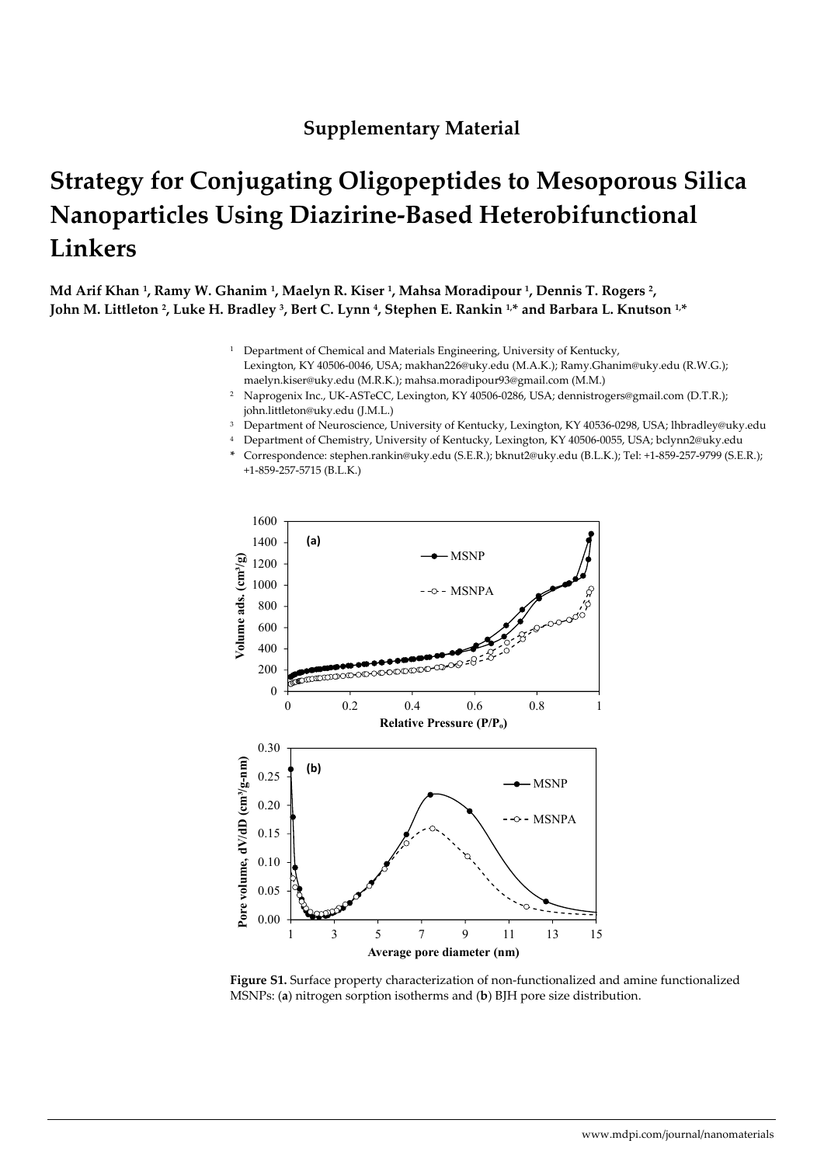## **Supplementary Material**

## **Strategy for Conjugating Oligopeptides to Mesoporous Silica Nanoparticles Using Diazirine-Based Heterobifunctional Linkers**

**Md Arif Khan 1, Ramy W. Ghanim 1, Maelyn R. Kiser 1, Mahsa Moradipour 1, Dennis T. Rogers 2,**  John M. Littleton <sup>2</sup>, Luke H. Bradley <sup>3</sup>, Bert C. Lynn <sup>4</sup>, Stephen E. Rankin <sup>1,\*</sup> and Barbara L. Knutson <sup>1,\*</sup>

- <sup>1</sup> Department of Chemical and Materials Engineering, University of Kentucky, Lexington, KY 40506-0046, USA; makhan226@uky.edu (M.A.K.); Ramy.Ghanim@uky.edu (R.W.G.); maelyn.kiser@uky.edu (M.R.K.); mahsa.moradipour93@gmail.com (M.M.)
- 2 Naprogenix Inc., UK-ASTeCC, Lexington, KY 40506-0286, USA; dennistrogers@gmail.com (D.T.R.); john.littleton@uky.edu (J.M.L.)
- 3 Department of Neuroscience, University of Kentucky, Lexington, KY 40536-0298, USA; lhbradley@uky.edu
- 4 Department of Chemistry, University of Kentucky, Lexington, KY 40506-0055, USA; bclynn2@uky.edu
- **\*** Correspondence: stephen.rankin@uky.edu (S.E.R.); bknut2@uky.edu (B.L.K.); Tel: +1-859-257-9799 (S.E.R.); +1-859-257-5715 (B.L.K.)



**Figure S1.** Surface property characterization of non-functionalized and amine functionalized MSNPs: (**a**) nitrogen sorption isotherms and (**b**) BJH pore size distribution.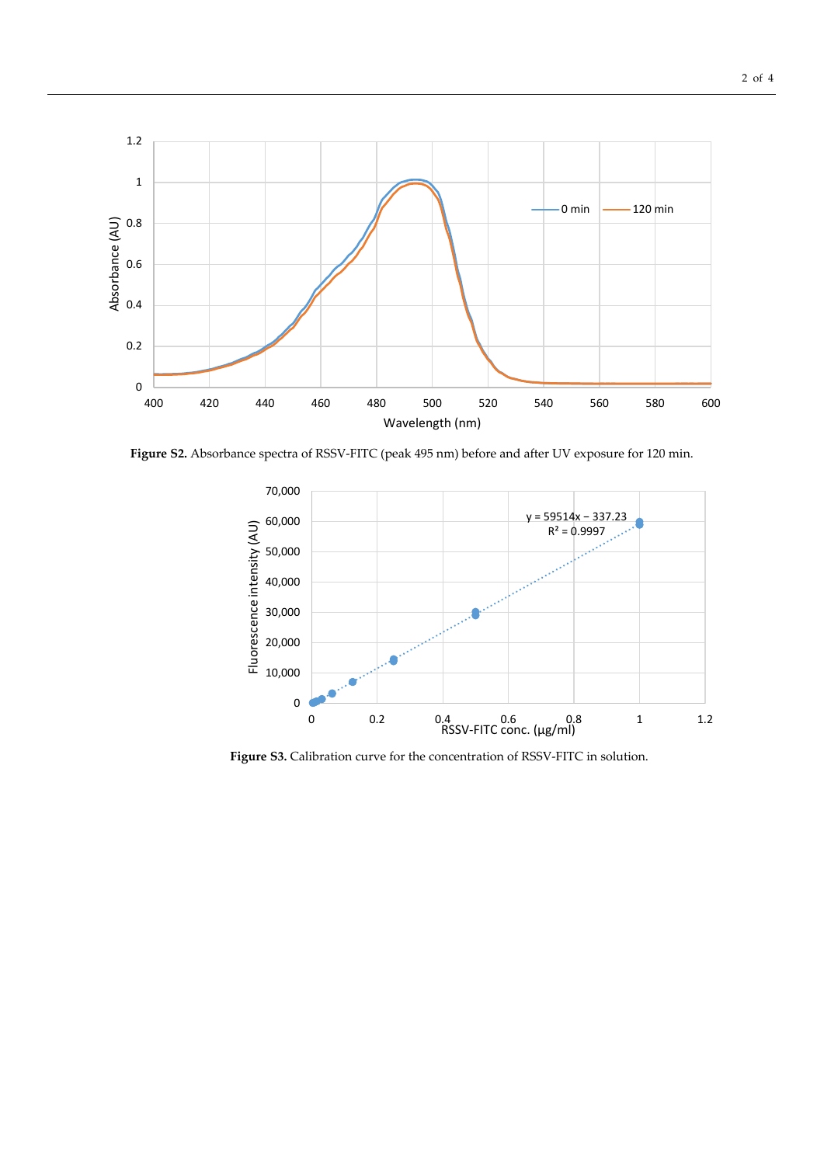

**Figure S2.** Absorbance spectra of RSSV-FITC (peak 495 nm) before and after UV exposure for 120 min.



**Figure S3.** Calibration curve for the concentration of RSSV-FITC in solution.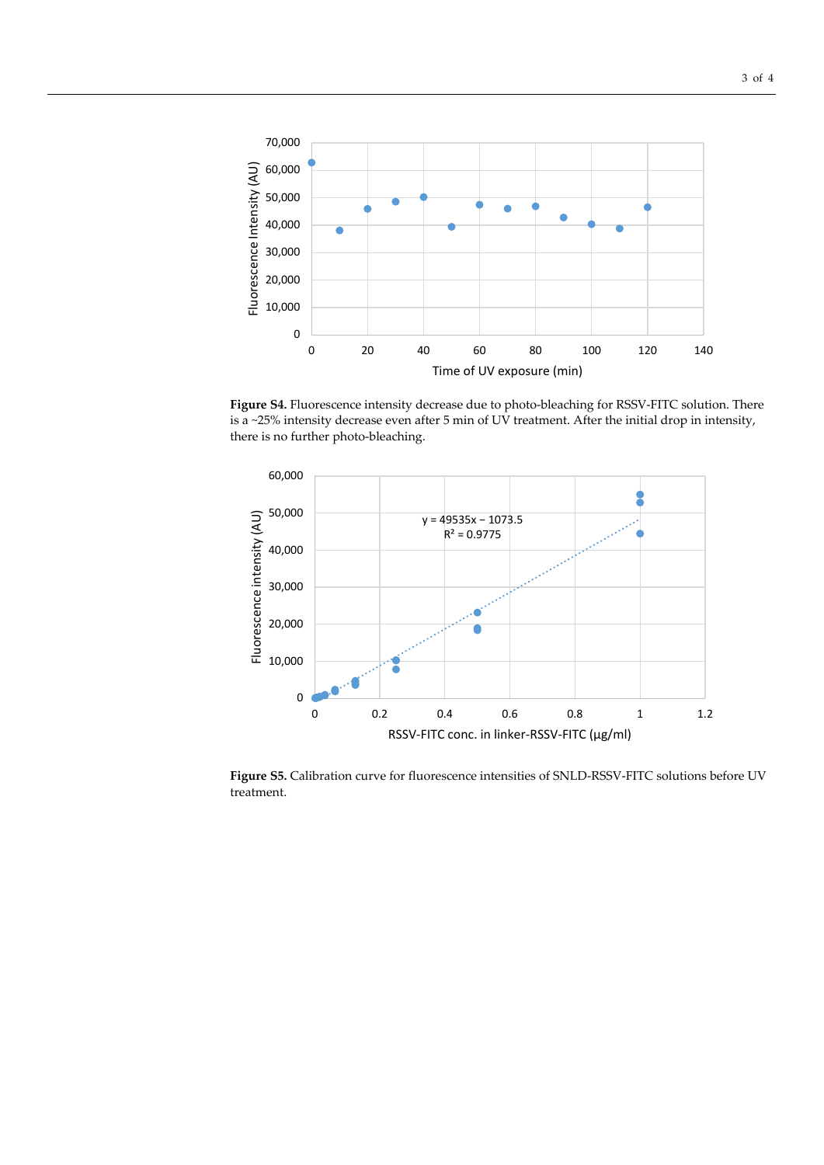

**Figure S4.** Fluorescence intensity decrease due to photo-bleaching for RSSV-FITC solution. There is a ~25% intensity decrease even after 5 min of UV treatment. After the initial drop in intensity, there is no further photo-bleaching.



**Figure S5.** Calibration curve for fluorescence intensities of SNLD-RSSV-FITC solutions before UV treatment.